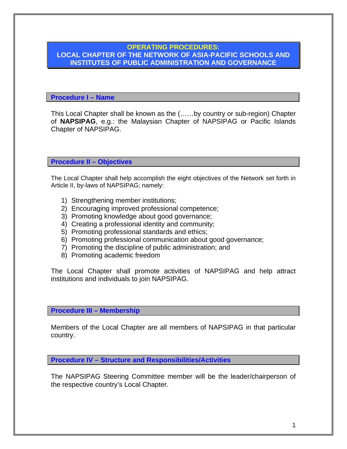## **OPERATING PROCEDURES: LOCAL CHAPTER OF THE NETWORK OF ASIA-PACIFIC SCHOOLS AND INSTITUTES OF PUBLIC ADMINISTRATION AND GOVERNANCE**

**Procedure I – Name** 

This Local Chapter shall be known as the (……by country or sub-region) Chapter of **NAPSIPAG**, e.g.: the Malaysian Chapter of NAPSIPAG or Pacific Islands Chapter of NAPSIPAG.

**Procedure II – Objectives** 

The Local Chapter shall help accomplish the eight objectives of the Network set forth in Article II, by-laws of NAPSIPAG; namely:

- 1) Strengthening member institutions;
- 2) Encouraging improved professional competence;
- 3) Promoting knowledge about good governance;
- 4) Creating a professional identity and community;
- 5) Promoting professional standards and ethics;
- 6) Promoting professional communication about good governance;
- 7) Promoting the discipline of public administration; and
- 8) Promoting academic freedom

The Local Chapter shall promote activities of NAPSIPAG and help attract institutions and individuals to join NAPSIPAG.

**Procedure III – Membership** 

Members of the Local Chapter are all members of NAPSIPAG in that particular country.

**Procedure IV – Structure and Responsibilities/Activities** 

The NAPSIPAG Steering Committee member will be the leader/chairperson of the respective country's Local Chapter.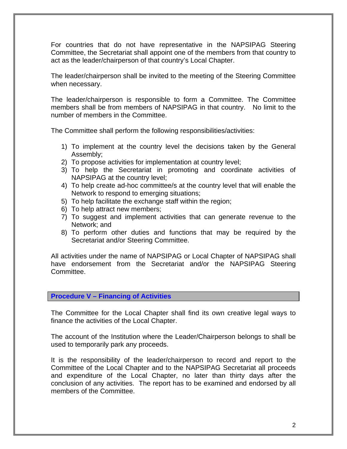For countries that do not have representative in the NAPSIPAG Steering Committee, the Secretariat shall appoint one of the members from that country to act as the leader/chairperson of that country's Local Chapter.

The leader/chairperson shall be invited to the meeting of the Steering Committee when necessary.

The leader/chairperson is responsible to form a Committee. The Committee members shall be from members of NAPSIPAG in that country. No limit to the number of members in the Committee.

The Committee shall perform the following responsibilities/activities:

- 1) To implement at the country level the decisions taken by the General Assembly;
- 2) To propose activities for implementation at country level;
- 3) To help the Secretariat in promoting and coordinate activities of NAPSIPAG at the country level;
- 4) To help create ad-hoc committee/s at the country level that will enable the Network to respond to emerging situations;
- 5) To help facilitate the exchange staff within the region;
- 6) To help attract new members;
- 7) To suggest and implement activities that can generate revenue to the Network; and
- 8) To perform other duties and functions that may be required by the Secretariat and/or Steering Committee.

All activities under the name of NAPSIPAG or Local Chapter of NAPSIPAG shall have endorsement from the Secretariat and/or the NAPSIPAG Steering Committee.

## **Procedure V – Financing of Activities**

The Committee for the Local Chapter shall find its own creative legal ways to finance the activities of the Local Chapter.

The account of the Institution where the Leader/Chairperson belongs to shall be used to temporarily park any proceeds.

It is the responsibility of the leader/chairperson to record and report to the Committee of the Local Chapter and to the NAPSIPAG Secretariat all proceeds and expenditure of the Local Chapter, no later than thirty days after the conclusion of any activities. The report has to be examined and endorsed by all members of the Committee.